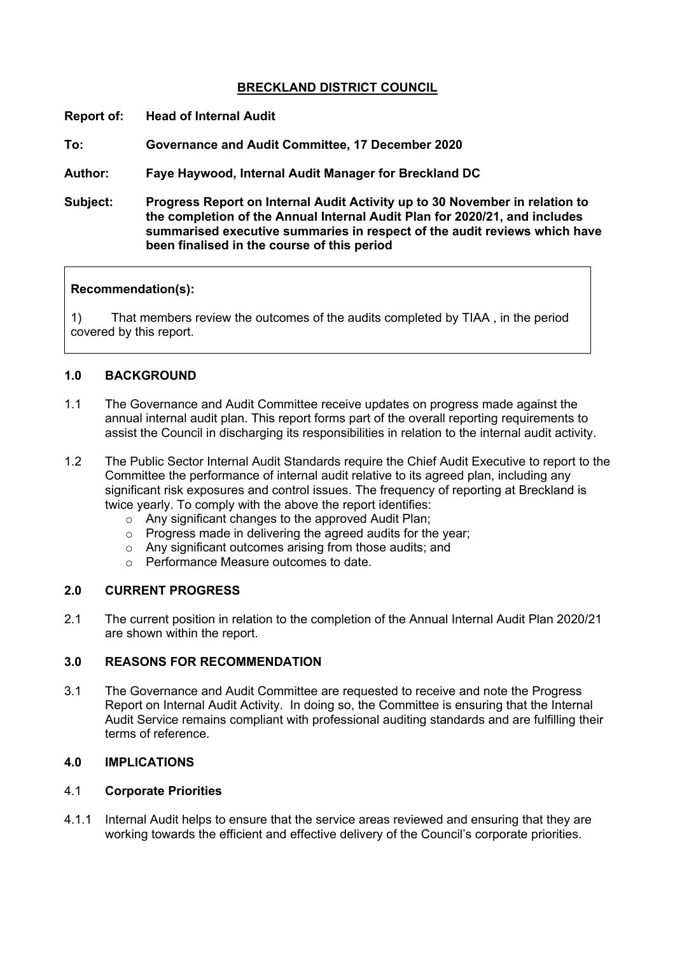# **BRECKLAND DISTRICT COUNCIL**

**Report of: Head of Internal Audit**

**To: Governance and Audit Committee, 17 December 2020**

**Author: Faye Haywood, Internal Audit Manager for Breckland DC**

**Subject: Progress Report on Internal Audit Activity up to 30 November in relation to the completion of the Annual Internal Audit Plan for 2020/21, and includes summarised executive summaries in respect of the audit reviews which have been finalised in the course of this period**

### **Recommendation(s):**

1) That members review the outcomes of the audits completed by TIAA , in the period covered by this report.

## **1.0 BACKGROUND**

- 1.1 The Governance and Audit Committee receive updates on progress made against the annual internal audit plan. This report forms part of the overall reporting requirements to assist the Council in discharging its responsibilities in relation to the internal audit activity.
- 1.2 The Public Sector Internal Audit Standards require the Chief Audit Executive to report to the Committee the performance of internal audit relative to its agreed plan, including any significant risk exposures and control issues. The frequency of reporting at Breckland is twice yearly. To comply with the above the report identifies:
	- o Any significant changes to the approved Audit Plan;
	- o Progress made in delivering the agreed audits for the year;
	- o Any significant outcomes arising from those audits; and
	- o Performance Measure outcomes to date.

#### **2.0 CURRENT PROGRESS**

2.1 The current position in relation to the completion of the Annual Internal Audit Plan 2020/21 are shown within the report.

### **3.0 REASONS FOR RECOMMENDATION**

3.1 The Governance and Audit Committee are requested to receive and note the Progress Report on Internal Audit Activity. In doing so, the Committee is ensuring that the Internal Audit Service remains compliant with professional auditing standards and are fulfilling their terms of reference.

# **4.0 IMPLICATIONS**

### 4.1 **Corporate Priorities**

4.1.1 Internal Audit helps to ensure that the service areas reviewed and ensuring that they are working towards the efficient and effective delivery of the Council's corporate priorities.